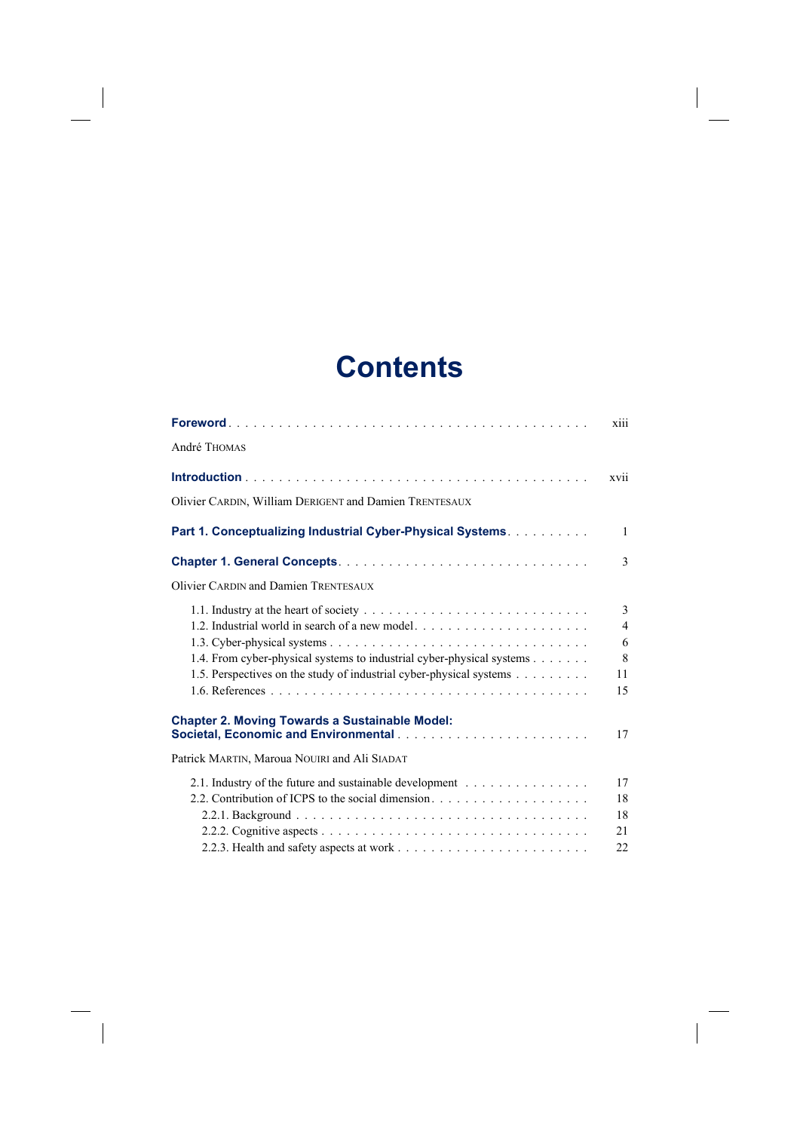## **Contents**

|                                                                                                                     | xiii                |
|---------------------------------------------------------------------------------------------------------------------|---------------------|
| André Thomas                                                                                                        |                     |
|                                                                                                                     | xvii                |
| Olivier CARDIN, William DERIGENT and Damien TRENTESAUX                                                              |                     |
| Part 1. Conceptualizing Industrial Cyber-Physical Systems.                                                          | 1                   |
|                                                                                                                     | 3                   |
| <b>Olivier CARDIN and Damien TRENTESAUX</b>                                                                         |                     |
|                                                                                                                     | 3<br>$\overline{4}$ |
| 1.4. From cyber-physical systems to industrial cyber-physical systems                                               | 6<br>8              |
| 1.5. Perspectives on the study of industrial cyber-physical systems                                                 | 11<br>15            |
| <b>Chapter 2. Moving Towards a Sustainable Model:</b>                                                               | 17                  |
| Patrick MARTIN, Maroua NOUIRI and Ali SIADAT                                                                        |                     |
| 2.1. Industry of the future and sustainable development $\dots \dots \dots \dots \dots$                             | 17                  |
|                                                                                                                     | 18<br>18            |
|                                                                                                                     | 21                  |
| 2.2.3. Health and safety aspects at work $\ldots$ , $\ldots$ , $\ldots$ , $\ldots$ , $\ldots$ , $\ldots$ , $\ldots$ | 22                  |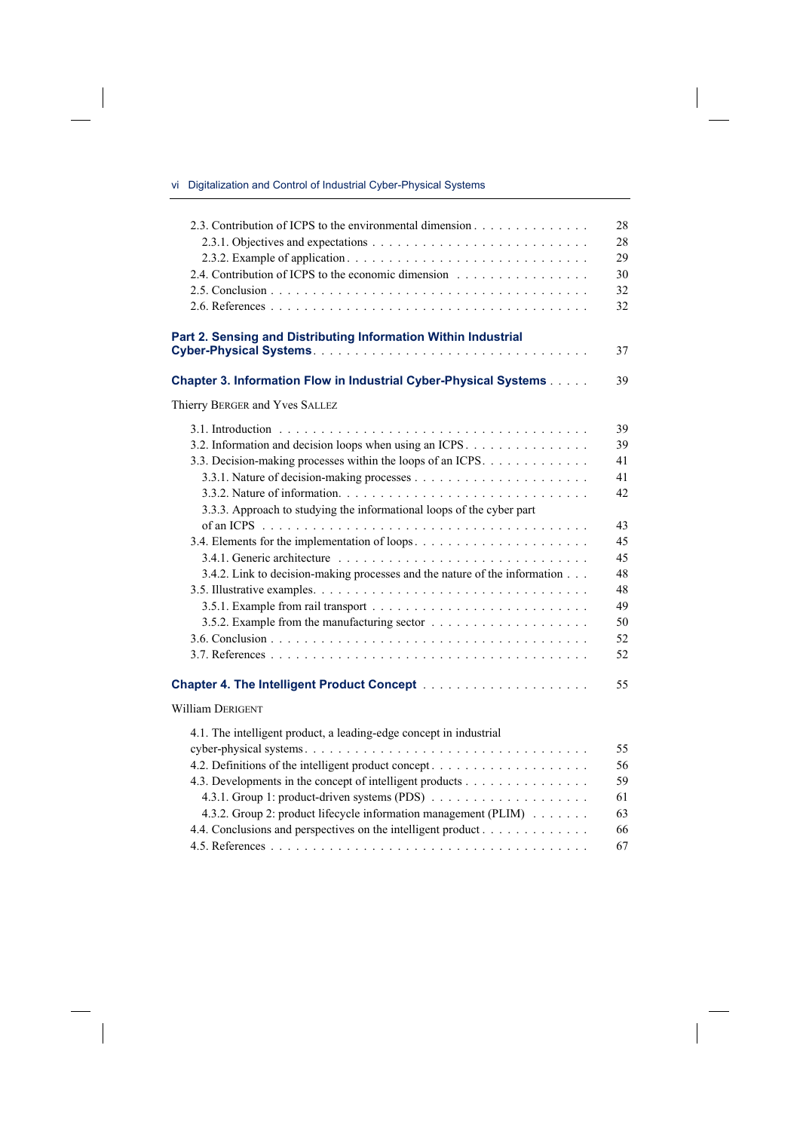## vi Digitalization and Control of Industrial Cyber-Physical Systems

 $\overline{\phantom{a}}$ 

 $\overline{\phantom{a}}$ 

| 2.3. Contribution of ICPS to the environmental dimension                   | 28 |
|----------------------------------------------------------------------------|----|
|                                                                            | 28 |
|                                                                            | 29 |
| 2.4. Contribution of ICPS to the economic dimension                        | 30 |
|                                                                            | 32 |
|                                                                            | 32 |
|                                                                            |    |
| Part 2. Sensing and Distributing Information Within Industrial             |    |
|                                                                            | 37 |
| Chapter 3. Information Flow in Industrial Cyber-Physical Systems           | 39 |
| Thierry BERGER and Yves SALLEZ                                             |    |
|                                                                            | 39 |
| 3.2. Information and decision loops when using an ICPS                     | 39 |
| 3.3. Decision-making processes within the loops of an ICPS.                | 41 |
|                                                                            | 41 |
|                                                                            | 42 |
| 3.3.3. Approach to studying the informational loops of the cyber part      |    |
|                                                                            | 43 |
|                                                                            | 45 |
|                                                                            | 45 |
| 3.4.2. Link to decision-making processes and the nature of the information | 48 |
|                                                                            | 48 |
|                                                                            | 49 |
|                                                                            | 50 |
|                                                                            | 52 |
|                                                                            | 52 |
|                                                                            | 55 |
| William DERIGENT                                                           |    |
| 4.1. The intelligent product, a leading-edge concept in industrial         |    |
|                                                                            | 55 |
|                                                                            | 56 |
| 4.3. Developments in the concept of intelligent products                   | 59 |
|                                                                            | 61 |
| 4.3.2. Group 2: product lifecycle information management (PLIM)            | 63 |
| 4.4. Conclusions and perspectives on the intelligent product               | 66 |
|                                                                            | 67 |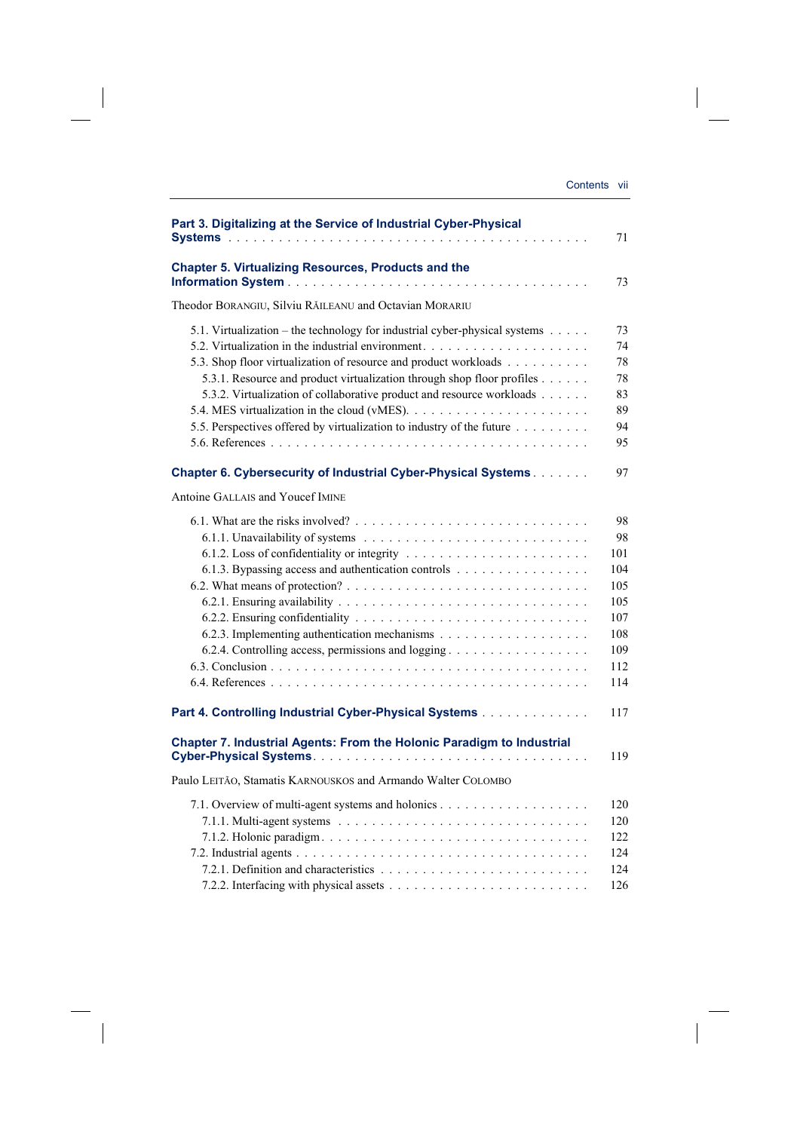| Part 3. Digitalizing at the Service of Industrial Cyber-Physical                                                                                                                                                                                                                                                                                                           | 71                                                                      |
|----------------------------------------------------------------------------------------------------------------------------------------------------------------------------------------------------------------------------------------------------------------------------------------------------------------------------------------------------------------------------|-------------------------------------------------------------------------|
| <b>Chapter 5. Virtualizing Resources, Products and the</b>                                                                                                                                                                                                                                                                                                                 | 73                                                                      |
| Theodor BORANGIU, Silviu RĂILEANU and Octavian MORARIU                                                                                                                                                                                                                                                                                                                     |                                                                         |
| 5.1. Virtualization – the technology for industrial cyber-physical systems<br>5.3. Shop floor virtualization of resource and product workloads<br>5.3.1. Resource and product virtualization through shop floor profiles<br>5.3.2. Virtualization of collaborative product and resource workloads<br>5.5. Perspectives offered by virtualization to industry of the future | 73<br>74<br>78<br>78<br>83<br>89<br>94<br>95                            |
| <b>Chapter 6. Cybersecurity of Industrial Cyber-Physical Systems</b>                                                                                                                                                                                                                                                                                                       | 97                                                                      |
| Antoine GALLAIS and Youcef IMINE                                                                                                                                                                                                                                                                                                                                           |                                                                         |
| 6.1.3. Bypassing access and authentication controls<br>6.2.4. Controlling access, permissions and logging                                                                                                                                                                                                                                                                  | 98<br>98<br>101<br>104<br>105<br>105<br>107<br>108<br>109<br>112<br>114 |
| Part 4. Controlling Industrial Cyber-Physical Systems                                                                                                                                                                                                                                                                                                                      | 117                                                                     |
| Chapter 7. Industrial Agents: From the Holonic Paradigm to Industrial                                                                                                                                                                                                                                                                                                      | 119                                                                     |
| Paulo LEITÃO, Stamatis KARNOUSKOS and Armando Walter COLOMBO                                                                                                                                                                                                                                                                                                               |                                                                         |
|                                                                                                                                                                                                                                                                                                                                                                            | 120<br>120<br>122<br>124<br>124<br>126                                  |

 $\overline{\phantom{a}}$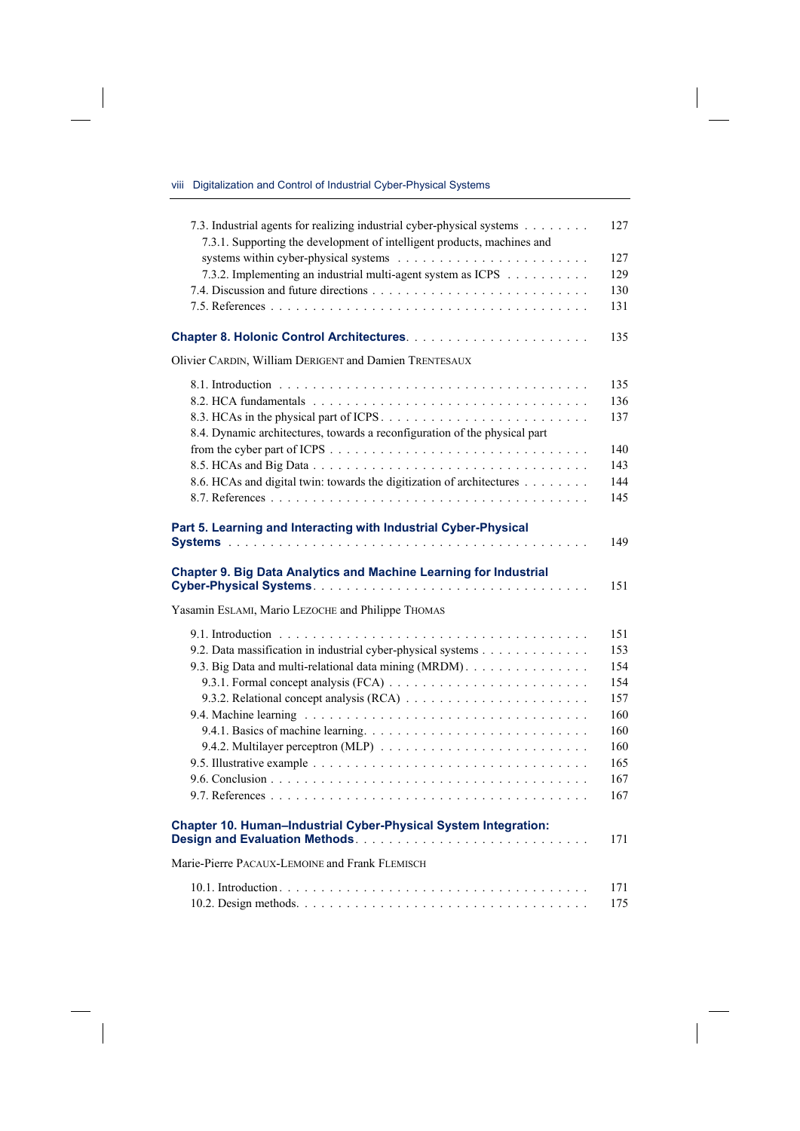viii Digitalization and Control of Industrial Cyber-Physical Systems

 $\overline{\phantom{a}}$ 

 $\overline{\phantom{a}}$ 

| 7.3. Industrial agents for realizing industrial cyber-physical systems<br>7.3.1. Supporting the development of intelligent products, machines and | 127 |
|---------------------------------------------------------------------------------------------------------------------------------------------------|-----|
|                                                                                                                                                   | 127 |
| 7.3.2. Implementing an industrial multi-agent system as ICPS                                                                                      | 129 |
|                                                                                                                                                   | 130 |
|                                                                                                                                                   | 131 |
|                                                                                                                                                   | 135 |
| Olivier CARDIN, William DERIGENT and Damien TRENTESAUX                                                                                            |     |
|                                                                                                                                                   | 135 |
|                                                                                                                                                   | 136 |
|                                                                                                                                                   | 137 |
| 8.4. Dynamic architectures, towards a reconfiguration of the physical part                                                                        |     |
|                                                                                                                                                   | 140 |
|                                                                                                                                                   | 143 |
| 8.6. HCAs and digital twin: towards the digitization of architectures                                                                             | 144 |
|                                                                                                                                                   | 145 |
|                                                                                                                                                   |     |
| Part 5. Learning and Interacting with Industrial Cyber-Physical                                                                                   | 149 |
|                                                                                                                                                   |     |
| <b>Chapter 9. Big Data Analytics and Machine Learning for Industrial</b>                                                                          | 151 |
| Yasamin ESLAMI, Mario LEZOCHE and Philippe THOMAS                                                                                                 |     |
|                                                                                                                                                   | 151 |
|                                                                                                                                                   |     |
| 9.2. Data massification in industrial cyber-physical systems                                                                                      | 153 |
| 9.3. Big Data and multi-relational data mining (MRDM).                                                                                            | 154 |
|                                                                                                                                                   | 154 |
|                                                                                                                                                   | 157 |
|                                                                                                                                                   | 160 |
|                                                                                                                                                   | 160 |
|                                                                                                                                                   | 160 |
|                                                                                                                                                   | 165 |
|                                                                                                                                                   | 167 |
|                                                                                                                                                   | 167 |
| Chapter 10. Human-Industrial Cyber-Physical System Integration:                                                                                   | 171 |
| Marie-Pierre PACAUX-LEMOINE and Frank FLEMISCH                                                                                                    |     |
|                                                                                                                                                   | 171 |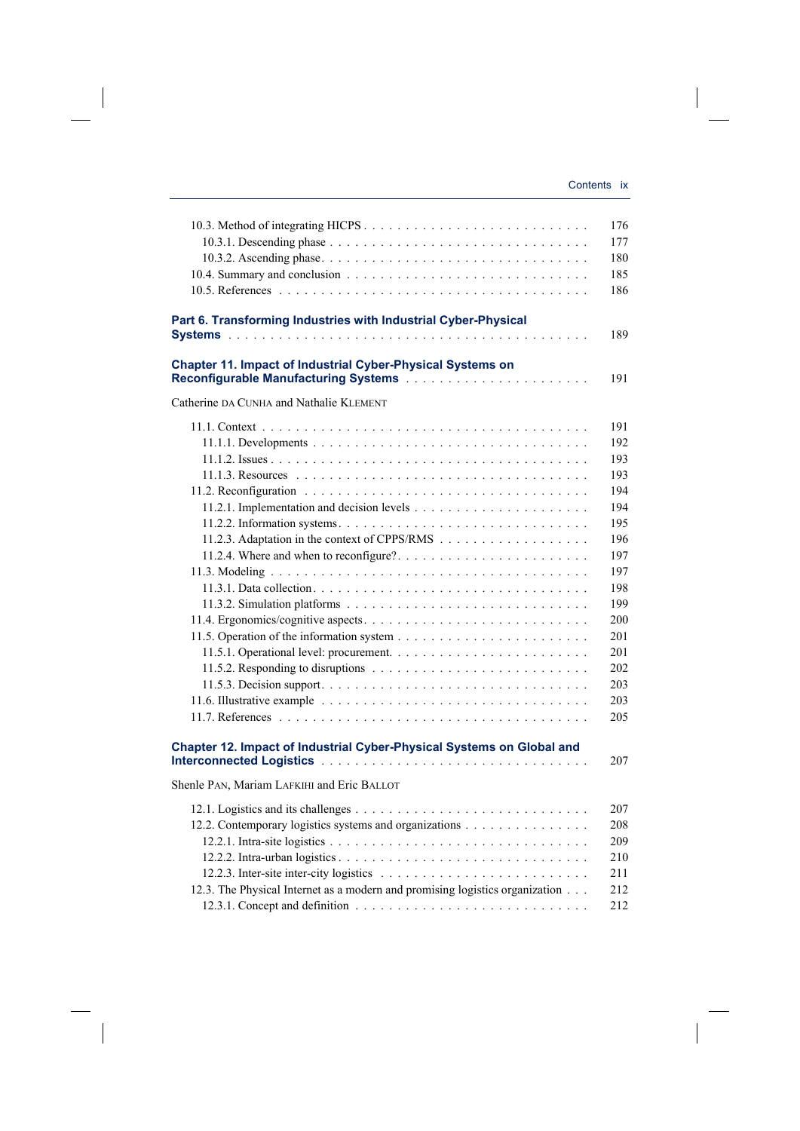$\begin{array}{c} \end{array}$ 

|                                                                                                                                        | 176<br>177<br>180<br>185                                                                                                          |
|----------------------------------------------------------------------------------------------------------------------------------------|-----------------------------------------------------------------------------------------------------------------------------------|
|                                                                                                                                        | 186                                                                                                                               |
| Part 6. Transforming Industries with Industrial Cyber-Physical                                                                         | 189                                                                                                                               |
| Chapter 11. Impact of Industrial Cyber-Physical Systems on                                                                             | 191                                                                                                                               |
| Catherine DA CUNHA and Nathalie KLEMENT                                                                                                |                                                                                                                                   |
|                                                                                                                                        | 191<br>192<br>193<br>193<br>194<br>194<br>195<br>196<br>197<br>197<br>198<br>199<br>200<br>201<br>201<br>202<br>203<br>203<br>205 |
| Chapter 12. Impact of Industrial Cyber-Physical Systems on Global and                                                                  | 207                                                                                                                               |
| Shenle PAN, Mariam LAFKIHI and Eric BALLOT                                                                                             |                                                                                                                                   |
| 12.2. Contemporary logistics systems and organizations<br>12.3. The Physical Internet as a modern and promising logistics organization | 207<br>208<br>209<br>210<br>211<br>212<br>212                                                                                     |

 $\overline{\phantom{a}}$ 

 $\begin{array}{c} \begin{array}{c} \end{array} \end{array}$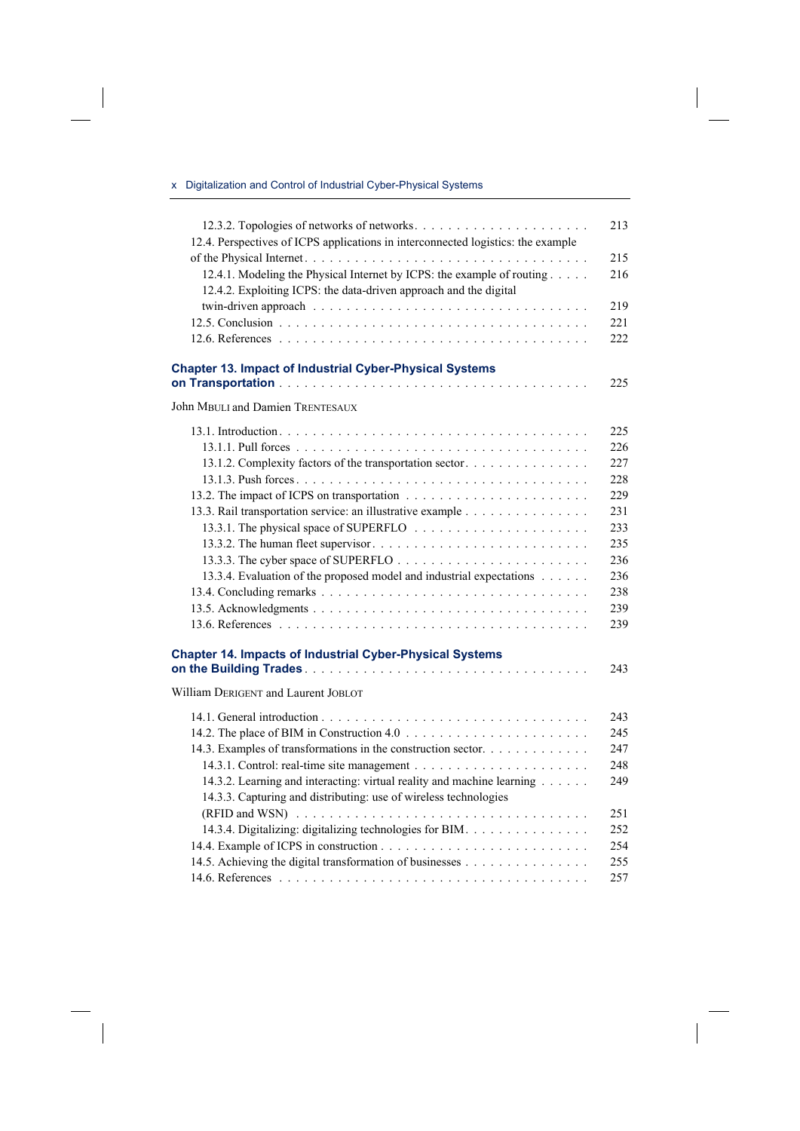## x Digitalization and Control of Industrial Cyber-Physical Systems

 $\overline{\phantom{a}}$ 

 $\begin{array}{c} \hline \end{array}$ 

| 12.3.2. Topologies of networks of networks<br>12.4. Perspectives of ICPS applications in interconnected logistics: the example              | 213        |
|---------------------------------------------------------------------------------------------------------------------------------------------|------------|
| 12.4.1. Modeling the Physical Internet by ICPS: the example of routing<br>12.4.2. Exploiting ICPS: the data-driven approach and the digital | 215<br>216 |
|                                                                                                                                             | 219        |
|                                                                                                                                             | 221        |
|                                                                                                                                             | 222        |
| <b>Chapter 13. Impact of Industrial Cyber-Physical Systems</b>                                                                              |            |
|                                                                                                                                             | 225        |
| John MBULI and Damien TRENTESAUX                                                                                                            |            |
|                                                                                                                                             | 225        |
|                                                                                                                                             | 226        |
| 13.1.2. Complexity factors of the transportation sector                                                                                     | 227        |
|                                                                                                                                             | 228        |
|                                                                                                                                             | 229        |
| 13.3. Rail transportation service: an illustrative example                                                                                  | 231        |
|                                                                                                                                             | 233        |
|                                                                                                                                             | 235        |
|                                                                                                                                             | 236        |
| 13.3.4. Evaluation of the proposed model and industrial expectations                                                                        | 236        |
|                                                                                                                                             | 238        |
|                                                                                                                                             | 239        |
|                                                                                                                                             | 239        |
| <b>Chapter 14. Impacts of Industrial Cyber-Physical Systems</b>                                                                             |            |
|                                                                                                                                             | 243        |
| William DERIGENT and Laurent JOBLOT                                                                                                         |            |
|                                                                                                                                             | 243        |
|                                                                                                                                             | 245        |
| 14.3. Examples of transformations in the construction sector.                                                                               | 247        |
|                                                                                                                                             | 248        |
| 14.3.2. Learning and interacting: virtual reality and machine learning                                                                      | 249        |
| 14.3.3. Capturing and distributing: use of wireless technologies                                                                            |            |
|                                                                                                                                             | 251        |
| 14.3.4. Digitalizing: digitalizing technologies for BIM.                                                                                    | 252        |
|                                                                                                                                             | 254        |
| 14.5. Achieving the digital transformation of businesses                                                                                    | 255        |
|                                                                                                                                             | 257        |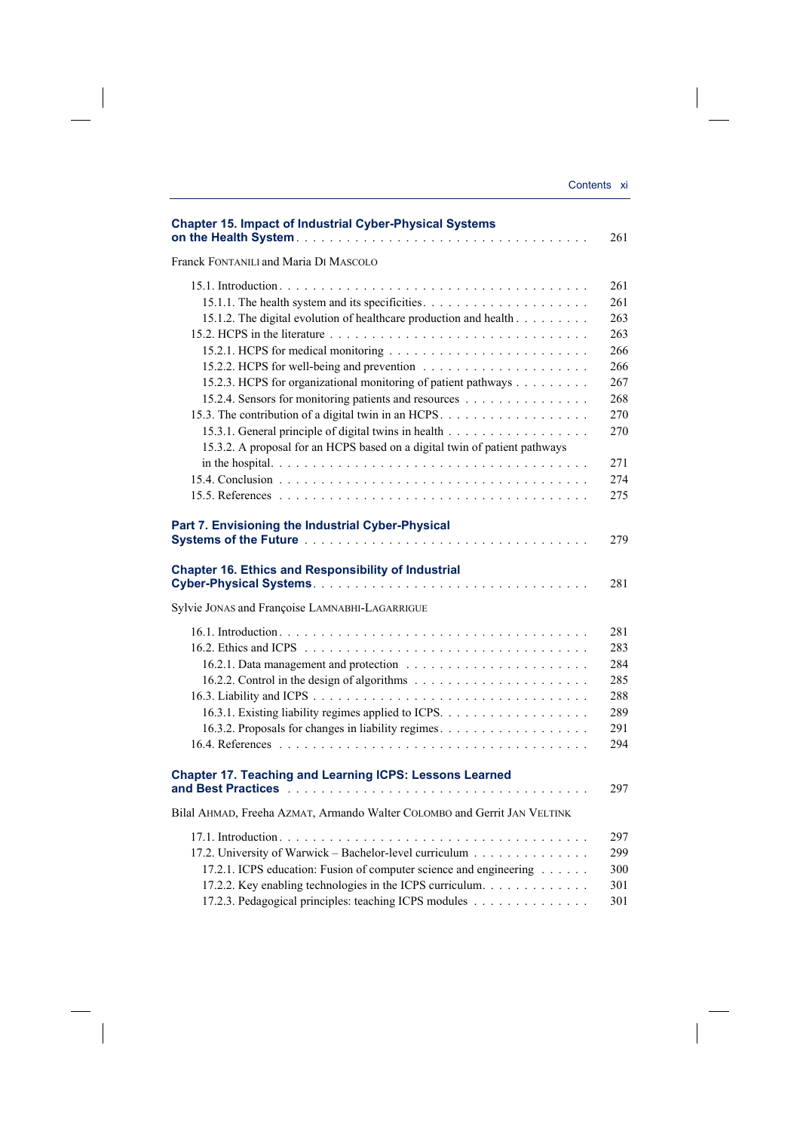| <b>Chapter 15. Impact of Industrial Cyber-Physical Systems</b>                                                                                                                                                                                      | 261                                                  |
|-----------------------------------------------------------------------------------------------------------------------------------------------------------------------------------------------------------------------------------------------------|------------------------------------------------------|
| Franck FONTANILI and Maria DI MASCOLO                                                                                                                                                                                                               |                                                      |
| 15.1.2. The digital evolution of healthcare production and health                                                                                                                                                                                   | 261<br>261<br>263<br>263                             |
| 15.2.3. HCPS for organizational monitoring of patient pathways<br>15.2.4. Sensors for monitoring patients and resources<br>15.3.2. A proposal for an HCPS based on a digital twin of patient pathways                                               | 266<br>266<br>267<br>268<br>270<br>270               |
|                                                                                                                                                                                                                                                     | 271<br>274<br>275                                    |
| Part 7. Envisioning the Industrial Cyber-Physical                                                                                                                                                                                                   | 279                                                  |
| <b>Chapter 16. Ethics and Responsibility of Industrial</b>                                                                                                                                                                                          | 281                                                  |
| Sylvie JONAS and Françoise LAMNABHI-LAGARRIGUE                                                                                                                                                                                                      |                                                      |
| 16.3.2. Proposals for changes in liability regimes.                                                                                                                                                                                                 | 281<br>283<br>284<br>285<br>288<br>289<br>291<br>294 |
| <b>Chapter 17. Teaching and Learning ICPS: Lessons Learned</b>                                                                                                                                                                                      | 297                                                  |
| Bilal AHMAD, Freeha AZMAT, Armando Walter COLOMBO and Gerrit JAN VELTINK                                                                                                                                                                            |                                                      |
| 17.2. University of Warwick – Bachelor-level curriculum<br>17.2.1. ICPS education: Fusion of computer science and engineering<br>17.2.2. Key enabling technologies in the ICPS curriculum.<br>17.2.3. Pedagogical principles: teaching ICPS modules | 297<br>299<br>300<br>301<br>301                      |